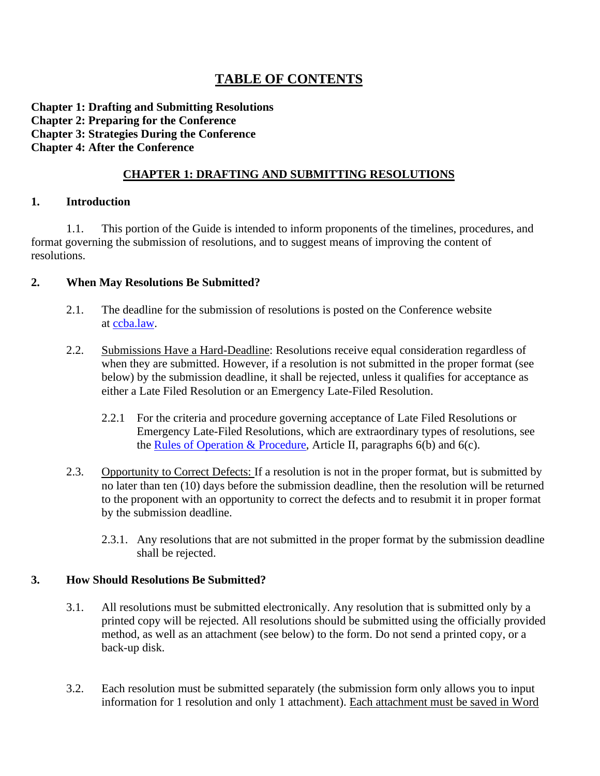# **TABLE OF CONTENTS**

### **Chapter 1: Drafting and Submitting Resolutions Chapter 2: Preparing for the Conference Chapter 3: Strategies During the Conference Chapter 4: After the Conference**

## **CHAPTER 1: DRAFTING AND SUBMITTING RESOLUTIONS**

### **1. Introduction**

1.1. This portion of the Guide is intended to inform proponents of the timelines, procedures, and format governing the submission of resolutions, and to suggest means of improving the content of resolutions.

## **2. When May Resolutions Be Submitted?**

- 2.1. The deadline for the submission of resolutions is posted on the Conference website at [ccba.law.](https://ccba.law/)
- 2.2. Submissions Have a Hard-Deadline: Resolutions receive equal consideration regardless of when they are submitted. However, if a resolution is not submitted in the proper format (see below) by the submission deadline, it shall be rejected, unless it qualifies for acceptance as either a Late Filed Resolution or an Emergency Late-Filed Resolution.
	- 2.2.1 For the criteria and procedure governing acceptance of Late Filed Resolutions or Emergency Late-Filed Resolutions, which are extraordinary types of resolutions, see the [Rules of Operation & Procedure,](https://ccba.law/wp-content/uploads/PrimaryDocs/CCBA-Rules-2014.pdf) Article II, paragraphs  $6(b)$  and  $6(c)$ .
- 2.3. Opportunity to Correct Defects: If a resolution is not in the proper format, but is submitted by no later than ten (10) days before the submission deadline, then the resolution will be returned to the proponent with an opportunity to correct the defects and to resubmit it in proper format by the submission deadline.
	- 2.3.1. Any resolutions that are not submitted in the proper format by the submission deadline shall be rejected.

### **3. How Should Resolutions Be Submitted?**

- 3.1. All resolutions must be submitted electronically. Any resolution that is submitted only by a printed copy will be rejected. All resolutions should be submitted using the officially provided method, as well as an attachment (see below) to the form. Do not send a printed copy, or a back-up disk.
- 3.2. Each resolution must be submitted separately (the submission form only allows you to input information for 1 resolution and only 1 attachment). Each attachment must be saved in Word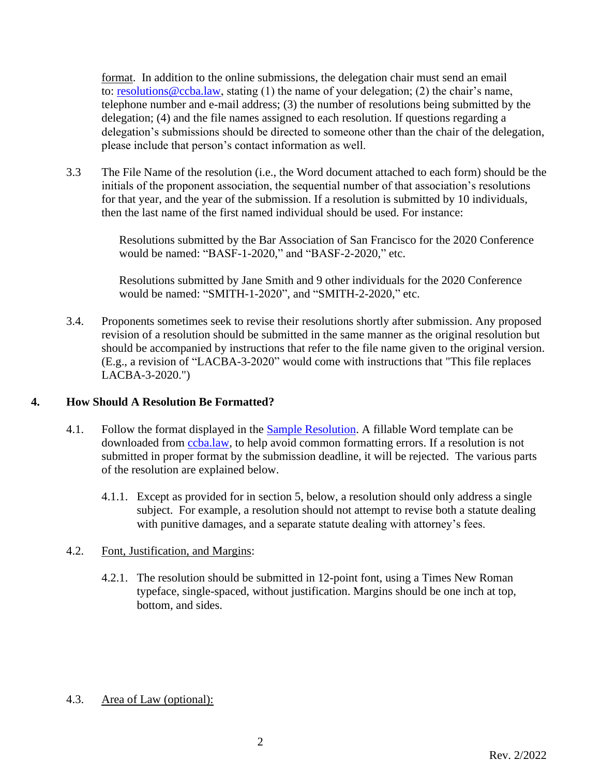format. In addition to the online submissions, the delegation chair must send an email to: [resolutions@ccba.law,](mailto:resolutions@ccba.law) stating (1) the name of your delegation; (2) the chair's name, telephone number and e-mail address; (3) the number of resolutions being submitted by the delegation; (4) and the file names assigned to each resolution. If questions regarding a delegation's submissions should be directed to someone other than the chair of the delegation, please include that person's contact information as well.

3.3 The File Name of the resolution (i.e., the Word document attached to each form) should be the initials of the proponent association, the sequential number of that association's resolutions for that year, and the year of the submission. If a resolution is submitted by 10 individuals, then the last name of the first named individual should be used. For instance:

> Resolutions submitted by the Bar Association of San Francisco for the 2020 Conference would be named: "BASF-1-2020," and "BASF-2-2020," etc.

Resolutions submitted by Jane Smith and 9 other individuals for the 2020 Conference would be named: "SMITH-1-2020", and "SMITH-2-2020," etc.

3.4. Proponents sometimes seek to revise their resolutions shortly after submission. Any proposed revision of a resolution should be submitted in the same manner as the original resolution but should be accompanied by instructions that refer to the file name given to the original version. (E.g., a revision of "LACBA-3-2020" would come with instructions that "This file replaces LACBA-3-2020.")

## **4. How Should A Resolution Be Formatted?**

- 4.1. Follow the format displayed in the [Sample Resolution.](https://www.ccba.law/wp-content/uploads/PrimaryDocs/CCBA-Sample-Resolution.pdf) A fillable Word template can be downloaded from [ccba.law,](https://ccba.law/) to help avoid common formatting errors. If a resolution is not submitted in proper format by the submission deadline, it will be rejected. The various parts of the resolution are explained below.
	- 4.1.1. Except as provided for in section 5, below, a resolution should only address a single subject. For example, a resolution should not attempt to revise both a statute dealing with punitive damages, and a separate statute dealing with attorney's fees.

## 4.2. Font, Justification, and Margins:

4.2.1. The resolution should be submitted in 12-point font, using a Times New Roman typeface, single-spaced, without justification. Margins should be one inch at top, bottom, and sides.

## 4.3. Area of Law (optional):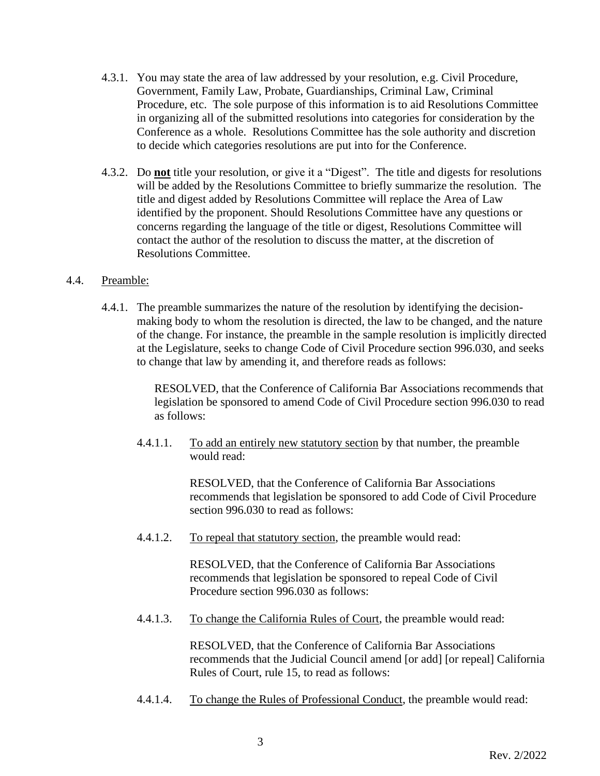- 4.3.1. You may state the area of law addressed by your resolution, e.g. Civil Procedure, Government, Family Law, Probate, Guardianships, Criminal Law, Criminal Procedure, etc. The sole purpose of this information is to aid Resolutions Committee in organizing all of the submitted resolutions into categories for consideration by the Conference as a whole. Resolutions Committee has the sole authority and discretion to decide which categories resolutions are put into for the Conference.
- 4.3.2. Do **not** title your resolution, or give it a "Digest". The title and digests for resolutions will be added by the Resolutions Committee to briefly summarize the resolution. The title and digest added by Resolutions Committee will replace the Area of Law identified by the proponent. Should Resolutions Committee have any questions or concerns regarding the language of the title or digest, Resolutions Committee will contact the author of the resolution to discuss the matter, at the discretion of Resolutions Committee.

## 4.4. Preamble:

4.4.1. The preamble summarizes the nature of the resolution by identifying the decisionmaking body to whom the resolution is directed, the law to be changed, and the nature of the change. For instance, the preamble in the sample resolution is implicitly directed at the Legislature, seeks to change Code of Civil Procedure section 996.030, and seeks to change that law by amending it, and therefore reads as follows:

> RESOLVED, that the Conference of California Bar Associations recommends that legislation be sponsored to amend Code of Civil Procedure section 996.030 to read as follows:

4.4.1.1. To add an entirely new statutory section by that number, the preamble would read:

> RESOLVED, that the Conference of California Bar Associations recommends that legislation be sponsored to add Code of Civil Procedure section 996.030 to read as follows:

4.4.1.2. To repeal that statutory section, the preamble would read:

RESOLVED, that the Conference of California Bar Associations recommends that legislation be sponsored to repeal Code of Civil Procedure section 996.030 as follows:

4.4.1.3. To change the California Rules of Court, the preamble would read:

RESOLVED, that the Conference of California Bar Associations recommends that the Judicial Council amend [or add] [or repeal] California Rules of Court, rule 15, to read as follows:

4.4.1.4. To change the Rules of Professional Conduct, the preamble would read: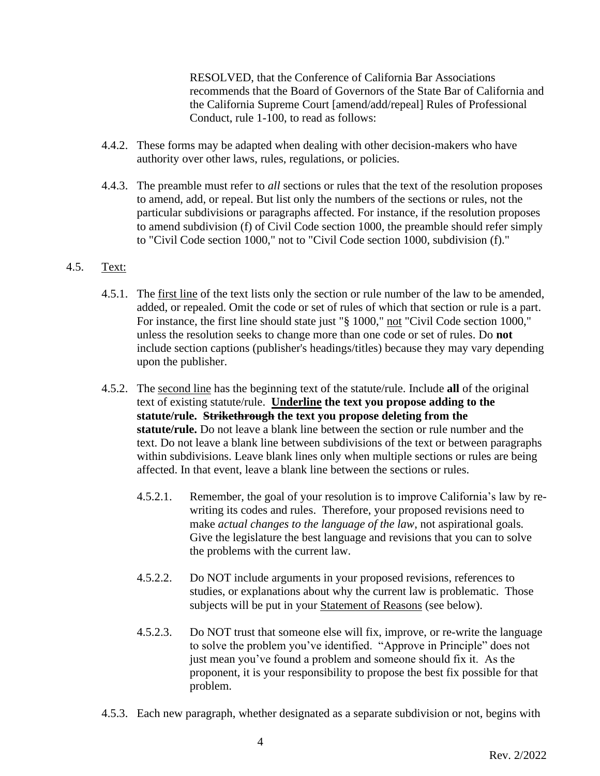RESOLVED, that the Conference of California Bar Associations recommends that the Board of Governors of the State Bar of California and the California Supreme Court [amend/add/repeal] Rules of Professional Conduct, rule 1-100, to read as follows:

- 4.4.2. These forms may be adapted when dealing with other decision-makers who have authority over other laws, rules, regulations, or policies.
- 4.4.3. The preamble must refer to *all* sections or rules that the text of the resolution proposes to amend, add, or repeal. But list only the numbers of the sections or rules, not the particular subdivisions or paragraphs affected. For instance, if the resolution proposes to amend subdivision (f) of Civil Code section 1000, the preamble should refer simply to "Civil Code section 1000," not to "Civil Code section 1000, subdivision (f)."

## 4.5. Text:

- 4.5.1. The first line of the text lists only the section or rule number of the law to be amended, added, or repealed. Omit the code or set of rules of which that section or rule is a part. For instance, the first line should state just "§ 1000," not "Civil Code section 1000," unless the resolution seeks to change more than one code or set of rules. Do **not**  include section captions (publisher's headings/titles) because they may vary depending upon the publisher.
- 4.5.2. The second line has the beginning text of the statute/rule. Include **all** of the original text of existing statute/rule. **Underline the text you propose adding to the statute/rule. Strikethrough the text you propose deleting from the statute/rule.** Do not leave a blank line between the section or rule number and the text. Do not leave a blank line between subdivisions of the text or between paragraphs within subdivisions. Leave blank lines only when multiple sections or rules are being affected. In that event, leave a blank line between the sections or rules.
	- 4.5.2.1. Remember, the goal of your resolution is to improve California's law by rewriting its codes and rules. Therefore, your proposed revisions need to make *actual changes to the language of the law*, not aspirational goals*.* Give the legislature the best language and revisions that you can to solve the problems with the current law.
	- 4.5.2.2. Do NOT include arguments in your proposed revisions, references to studies, or explanations about why the current law is problematic. Those subjects will be put in your Statement of Reasons (see below).
	- 4.5.2.3. Do NOT trust that someone else will fix, improve, or re-write the language to solve the problem you've identified. "Approve in Principle" does not just mean you've found a problem and someone should fix it. As the proponent, it is your responsibility to propose the best fix possible for that problem.
- 4.5.3. Each new paragraph, whether designated as a separate subdivision or not, begins with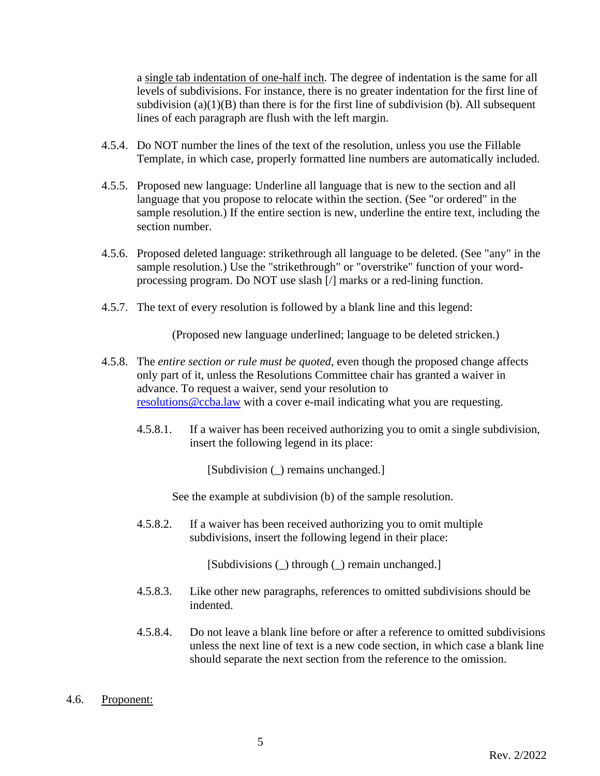a single tab indentation of one-half inch. The degree of indentation is the same for all levels of subdivisions. For instance, there is no greater indentation for the first line of subdivision  $(a)(1)(B)$  than there is for the first line of subdivision (b). All subsequent lines of each paragraph are flush with the left margin.

- 4.5.4. Do NOT number the lines of the text of the resolution, unless you use the Fillable Template, in which case, properly formatted line numbers are automatically included.
- 4.5.5. Proposed new language: Underline all language that is new to the section and all language that you propose to relocate within the section. (See "or ordered" in the sample resolution.) If the entire section is new, underline the entire text, including the section number.
- 4.5.6. Proposed deleted language: strikethrough all language to be deleted. (See "any" in the sample resolution.) Use the "strikethrough" or "overstrike" function of your wordprocessing program. Do NOT use slash [/] marks or a red-lining function.
- 4.5.7. The text of every resolution is followed by a blank line and this legend:

(Proposed new language underlined; language to be deleted stricken.)

- 4.5.8. The *entire section or rule must be quoted*, even though the proposed change affects only part of it, unless the Resolutions Committee chair has granted a waiver in advance. To request a waiver, send your resolution to [resolutions@ccba.law](mailto:resolutions@ccba.law) with a cover e-mail indicating what you are requesting.
	- 4.5.8.1. If a waiver has been received authorizing you to omit a single subdivision, insert the following legend in its place:

[Subdivision (\_) remains unchanged.]

See the example at subdivision (b) of the sample resolution.

4.5.8.2. If a waiver has been received authorizing you to omit multiple subdivisions, insert the following legend in their place:

[Subdivisions (\_) through (\_) remain unchanged.]

- 4.5.8.3. Like other new paragraphs, references to omitted subdivisions should be indented.
- 4.5.8.4. Do not leave a blank line before or after a reference to omitted subdivisions unless the next line of text is a new code section, in which case a blank line should separate the next section from the reference to the omission.
- 4.6. Proponent: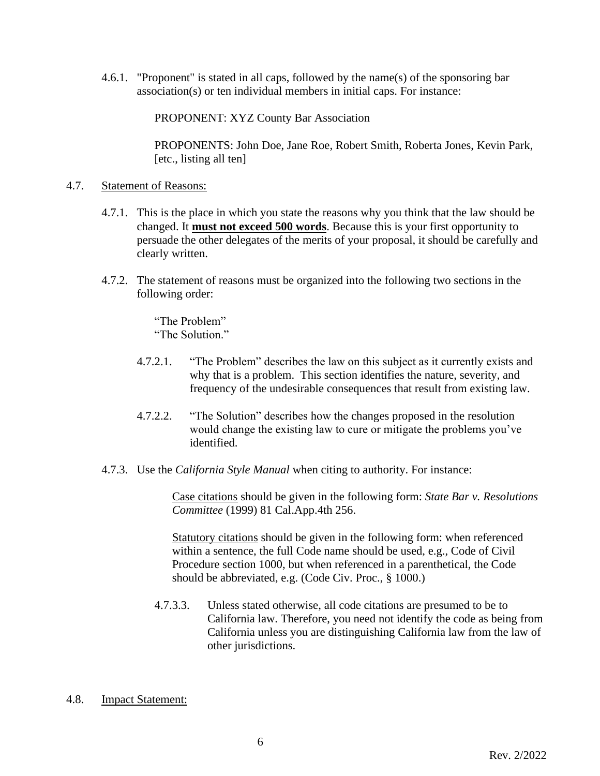4.6.1. "Proponent" is stated in all caps, followed by the name(s) of the sponsoring bar association(s) or ten individual members in initial caps. For instance:

PROPONENT: XYZ County Bar Association

PROPONENTS: John Doe, Jane Roe, Robert Smith, Roberta Jones, Kevin Park, [etc., listing all ten]

### 4.7. Statement of Reasons:

- 4.7.1. This is the place in which you state the reasons why you think that the law should be changed. It **must not exceed 500 words**. Because this is your first opportunity to persuade the other delegates of the merits of your proposal, it should be carefully and clearly written.
- 4.7.2. The statement of reasons must be organized into the following two sections in the following order:
	- "The Problem" "The Solution."
	- 4.7.2.1. "The Problem" describes the law on this subject as it currently exists and why that is a problem. This section identifies the nature, severity, and frequency of the undesirable consequences that result from existing law.
	- 4.7.2.2. "The Solution" describes how the changes proposed in the resolution would change the existing law to cure or mitigate the problems you've identified.
- 4.7.3. Use the *California Style Manual* when citing to authority. For instance:

Case citations should be given in the following form: *State Bar v. Resolutions Committee* (1999) 81 Cal.App.4th 256.

Statutory citations should be given in the following form: when referenced within a sentence, the full Code name should be used, e.g., Code of Civil Procedure section 1000, but when referenced in a parenthetical, the Code should be abbreviated, e.g. (Code Civ. Proc., § 1000.)

4.7.3.3. Unless stated otherwise, all code citations are presumed to be to California law. Therefore, you need not identify the code as being from California unless you are distinguishing California law from the law of other jurisdictions.

### 4.8. Impact Statement: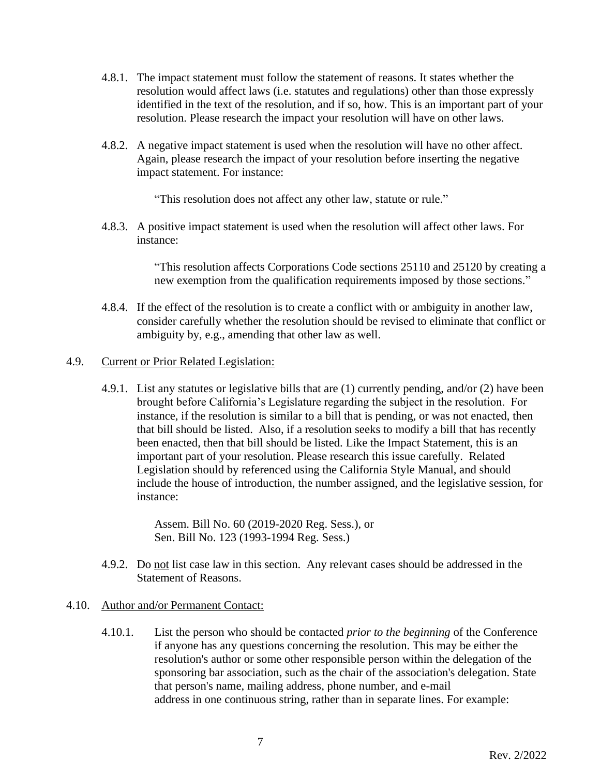- 4.8.1. The impact statement must follow the statement of reasons. It states whether the resolution would affect laws (i.e. statutes and regulations) other than those expressly identified in the text of the resolution, and if so, how. This is an important part of your resolution. Please research the impact your resolution will have on other laws.
- 4.8.2. A negative impact statement is used when the resolution will have no other affect. Again, please research the impact of your resolution before inserting the negative impact statement. For instance:

"This resolution does not affect any other law, statute or rule."

4.8.3. A positive impact statement is used when the resolution will affect other laws. For instance:

> "This resolution affects Corporations Code sections 25110 and 25120 by creating a new exemption from the qualification requirements imposed by those sections."

4.8.4. If the effect of the resolution is to create a conflict with or ambiguity in another law, consider carefully whether the resolution should be revised to eliminate that conflict or ambiguity by, e.g., amending that other law as well.

### 4.9. Current or Prior Related Legislation:

4.9.1. List any statutes or legislative bills that are (1) currently pending, and/or (2) have been brought before California's Legislature regarding the subject in the resolution. For instance, if the resolution is similar to a bill that is pending, or was not enacted, then that bill should be listed. Also, if a resolution seeks to modify a bill that has recently been enacted, then that bill should be listed. Like the Impact Statement, this is an important part of your resolution. Please research this issue carefully. Related Legislation should by referenced using the California Style Manual, and should include the house of introduction, the number assigned, and the legislative session, for instance:

> Assem. Bill No. 60 (2019-2020 Reg. Sess.), or Sen. Bill No. 123 (1993-1994 Reg. Sess.)

4.9.2. Do not list case law in this section. Any relevant cases should be addressed in the Statement of Reasons.

#### 4.10. Author and/or Permanent Contact:

4.10.1. List the person who should be contacted *prior to the beginning* of the Conference if anyone has any questions concerning the resolution. This may be either the resolution's author or some other responsible person within the delegation of the sponsoring bar association, such as the chair of the association's delegation. State that person's name, mailing address, phone number, and e-mail address in one continuous string, rather than in separate lines. For example: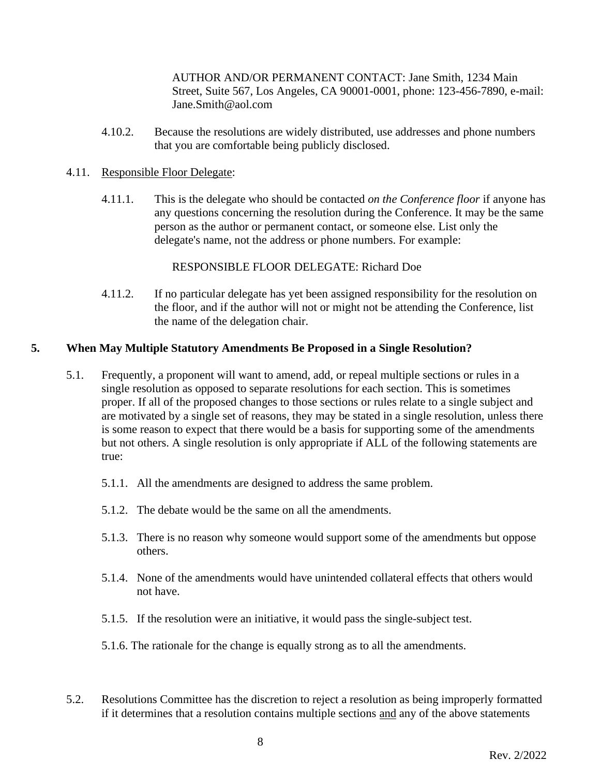AUTHOR AND/OR PERMANENT CONTACT: Jane Smith, 1234 Main Street, Suite 567, Los Angeles, CA 90001-0001, phone: 123-456-7890, e-mail: Jane.Smith@aol.com

4.10.2. Because the resolutions are widely distributed, use addresses and phone numbers that you are comfortable being publicly disclosed.

### 4.11. Responsible Floor Delegate:

4.11.1. This is the delegate who should be contacted *on the Conference floor* if anyone has any questions concerning the resolution during the Conference. It may be the same person as the author or permanent contact, or someone else. List only the delegate's name, not the address or phone numbers. For example:

RESPONSIBLE FLOOR DELEGATE: Richard Doe

4.11.2. If no particular delegate has yet been assigned responsibility for the resolution on the floor, and if the author will not or might not be attending the Conference, list the name of the delegation chair.

### **5. When May Multiple Statutory Amendments Be Proposed in a Single Resolution?**

- 5.1. Frequently, a proponent will want to amend, add, or repeal multiple sections or rules in a single resolution as opposed to separate resolutions for each section. This is sometimes proper. If all of the proposed changes to those sections or rules relate to a single subject and are motivated by a single set of reasons, they may be stated in a single resolution, unless there is some reason to expect that there would be a basis for supporting some of the amendments but not others. A single resolution is only appropriate if ALL of the following statements are true:
	- 5.1.1. All the amendments are designed to address the same problem.
	- 5.1.2. The debate would be the same on all the amendments.
	- 5.1.3. There is no reason why someone would support some of the amendments but oppose others.
	- 5.1.4. None of the amendments would have unintended collateral effects that others would not have.
	- 5.1.5. If the resolution were an initiative, it would pass the single-subject test.
	- 5.1.6. The rationale for the change is equally strong as to all the amendments.
- 5.2. Resolutions Committee has the discretion to reject a resolution as being improperly formatted if it determines that a resolution contains multiple sections and any of the above statements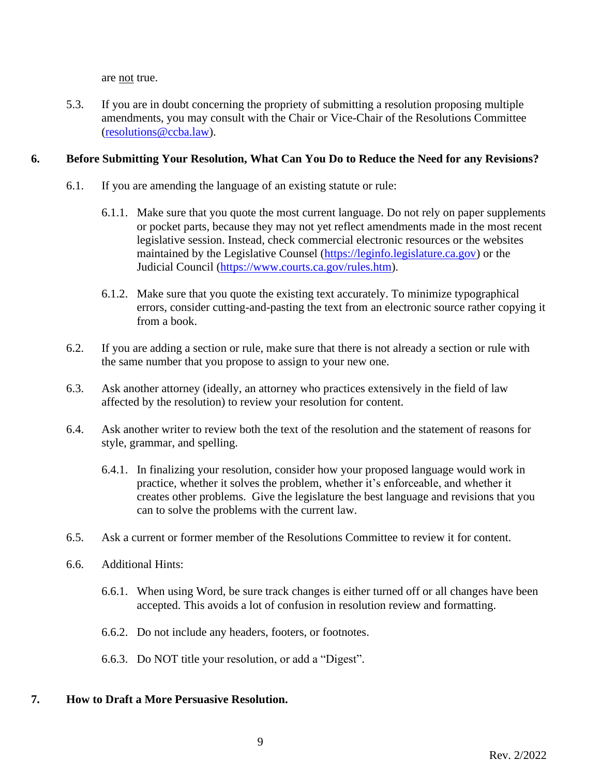are not true.

5.3. If you are in doubt concerning the propriety of submitting a resolution proposing multiple amendments, you may consult with the Chair or Vice-Chair of the Resolutions Committee [\(resolutions@ccba.law\)](mailto:resolutions@ccba.law).

## **6. Before Submitting Your Resolution, What Can You Do to Reduce the Need for any Revisions?**

- 6.1. If you are amending the language of an existing statute or rule:
	- 6.1.1. Make sure that you quote the most current language. Do not rely on paper supplements or pocket parts, because they may not yet reflect amendments made in the most recent legislative session. Instead, check commercial electronic resources or the websites maintained by the Legislative Counsel [\(https://leginfo.legislature.ca.gov\)](https://leginfo.legislature.ca.gov/) or the Judicial Council [\(https://www.courts.ca.gov/rules.htm\)](https://www.courts.ca.gov/rules.htm).
	- 6.1.2. Make sure that you quote the existing text accurately. To minimize typographical errors, consider cutting-and-pasting the text from an electronic source rather copying it from a book.
- 6.2. If you are adding a section or rule, make sure that there is not already a section or rule with the same number that you propose to assign to your new one.
- 6.3. Ask another attorney (ideally, an attorney who practices extensively in the field of law affected by the resolution) to review your resolution for content.
- 6.4. Ask another writer to review both the text of the resolution and the statement of reasons for style, grammar, and spelling.
	- 6.4.1. In finalizing your resolution, consider how your proposed language would work in practice, whether it solves the problem, whether it's enforceable, and whether it creates other problems. Give the legislature the best language and revisions that you can to solve the problems with the current law.
- 6.5. Ask a current or former member of the Resolutions Committee to review it for content.
- 6.6. Additional Hints:
	- 6.6.1. When using Word, be sure track changes is either turned off or all changes have been accepted. This avoids a lot of confusion in resolution review and formatting.
	- 6.6.2. Do not include any headers, footers, or footnotes.
	- 6.6.3. Do NOT title your resolution, or add a "Digest".

## **7. How to Draft a More Persuasive Resolution.**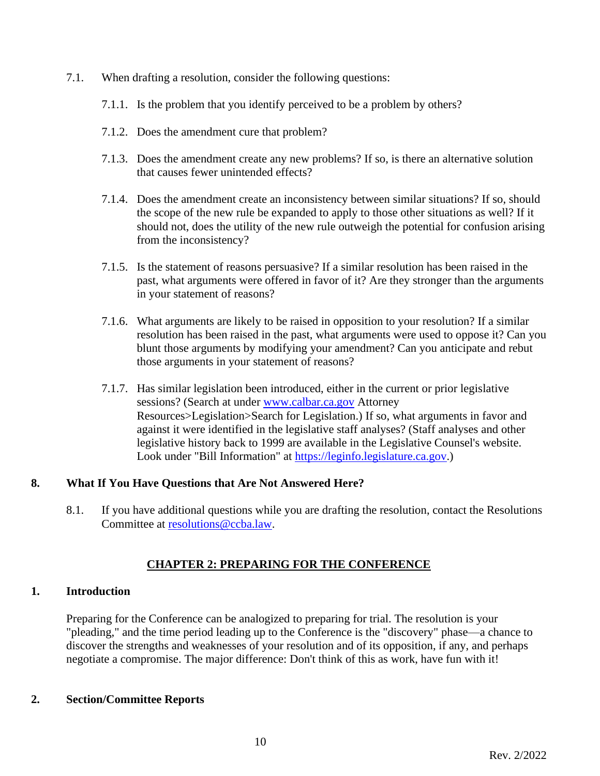- 7.1. When drafting a resolution, consider the following questions:
	- 7.1.1. Is the problem that you identify perceived to be a problem by others?
	- 7.1.2. Does the amendment cure that problem?
	- 7.1.3. Does the amendment create any new problems? If so, is there an alternative solution that causes fewer unintended effects?
	- 7.1.4. Does the amendment create an inconsistency between similar situations? If so, should the scope of the new rule be expanded to apply to those other situations as well? If it should not, does the utility of the new rule outweigh the potential for confusion arising from the inconsistency?
	- 7.1.5. Is the statement of reasons persuasive? If a similar resolution has been raised in the past, what arguments were offered in favor of it? Are they stronger than the arguments in your statement of reasons?
	- 7.1.6. What arguments are likely to be raised in opposition to your resolution? If a similar resolution has been raised in the past, what arguments were used to oppose it? Can you blunt those arguments by modifying your amendment? Can you anticipate and rebut those arguments in your statement of reasons?
	- 7.1.7. Has similar legislation been introduced, either in the current or prior legislative sessions? (Search at under [www.calbar.ca.gov](http://www.calbar.ca.gov/) Attorney Resources>Legislation>Search for Legislation.) If so, what arguments in favor and against it were identified in the legislative staff analyses? (Staff analyses and other legislative history back to 1999 are available in the Legislative Counsel's website. Look under "Bill Information" at [https://leginfo.legislature.ca.gov.](https://leginfo.legislature.ca.gov/))

## **8. What If You Have Questions that Are Not Answered Here?**

8.1. If you have additional questions while you are drafting the resolution, contact the Resolutions Committee at [resolutions@ccba.law.](mailto:resolutions@ccba.law)

## **CHAPTER 2: PREPARING FOR THE CONFERENCE**

### **1. Introduction**

Preparing for the Conference can be analogized to preparing for trial. The resolution is your "pleading," and the time period leading up to the Conference is the "discovery" phase—a chance to discover the strengths and weaknesses of your resolution and of its opposition, if any, and perhaps negotiate a compromise. The major difference: Don't think of this as work, have fun with it!

### **2. Section/Committee Reports**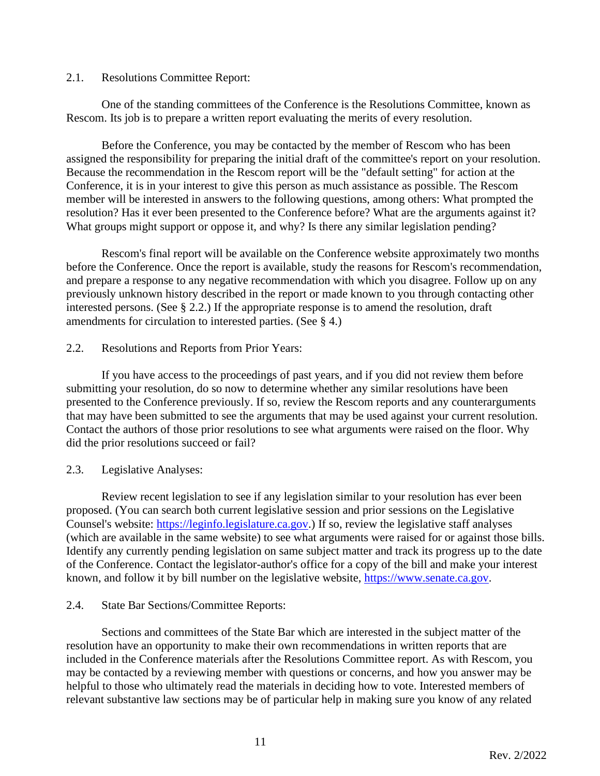### 2.1. Resolutions Committee Report:

One of the standing committees of the Conference is the Resolutions Committee, known as Rescom. Its job is to prepare a written report evaluating the merits of every resolution.

Before the Conference, you may be contacted by the member of Rescom who has been assigned the responsibility for preparing the initial draft of the committee's report on your resolution. Because the recommendation in the Rescom report will be the "default setting" for action at the Conference, it is in your interest to give this person as much assistance as possible. The Rescom member will be interested in answers to the following questions, among others: What prompted the resolution? Has it ever been presented to the Conference before? What are the arguments against it? What groups might support or oppose it, and why? Is there any similar legislation pending?

Rescom's final report will be available on the Conference website approximately two months before the Conference. Once the report is available, study the reasons for Rescom's recommendation, and prepare a response to any negative recommendation with which you disagree. Follow up on any previously unknown history described in the report or made known to you through contacting other interested persons. (See § 2.2.) If the appropriate response is to amend the resolution, draft amendments for circulation to interested parties. (See § 4.)

### 2.2. Resolutions and Reports from Prior Years:

If you have access to the proceedings of past years, and if you did not review them before submitting your resolution, do so now to determine whether any similar resolutions have been presented to the Conference previously. If so, review the Rescom reports and any counterarguments that may have been submitted to see the arguments that may be used against your current resolution. Contact the authors of those prior resolutions to see what arguments were raised on the floor. Why did the prior resolutions succeed or fail?

### 2.3. Legislative Analyses:

Review recent legislation to see if any legislation similar to your resolution has ever been proposed. (You can search both current legislative session and prior sessions on the Legislative Counsel's website: [https://leginfo.legislature.ca.gov.](https://leginfo.legislature.ca.gov/)) If so, review the legislative staff analyses (which are available in the same website) to see what arguments were raised for or against those bills. Identify any currently pending legislation on same subject matter and track its progress up to the date of the Conference. Contact the legislator-author's office for a copy of the bill and make your interest known, and follow it by bill number on the legislative website, [https://www.senate.ca.gov.](https://www.senate.ca.gov/)

### 2.4. State Bar Sections/Committee Reports:

Sections and committees of the State Bar which are interested in the subject matter of the resolution have an opportunity to make their own recommendations in written reports that are included in the Conference materials after the Resolutions Committee report. As with Rescom, you may be contacted by a reviewing member with questions or concerns, and how you answer may be helpful to those who ultimately read the materials in deciding how to vote. Interested members of relevant substantive law sections may be of particular help in making sure you know of any related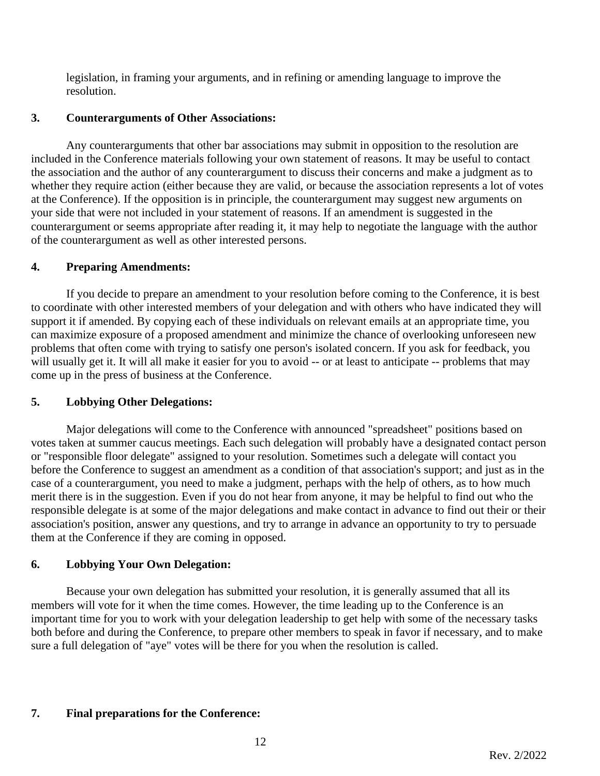legislation, in framing your arguments, and in refining or amending language to improve the resolution.

## **3. Counterarguments of Other Associations:**

Any counterarguments that other bar associations may submit in opposition to the resolution are included in the Conference materials following your own statement of reasons. It may be useful to contact the association and the author of any counterargument to discuss their concerns and make a judgment as to whether they require action (either because they are valid, or because the association represents a lot of votes at the Conference). If the opposition is in principle, the counterargument may suggest new arguments on your side that were not included in your statement of reasons. If an amendment is suggested in the counterargument or seems appropriate after reading it, it may help to negotiate the language with the author of the counterargument as well as other interested persons.

## **4. Preparing Amendments:**

If you decide to prepare an amendment to your resolution before coming to the Conference, it is best to coordinate with other interested members of your delegation and with others who have indicated they will support it if amended. By copying each of these individuals on relevant emails at an appropriate time, you can maximize exposure of a proposed amendment and minimize the chance of overlooking unforeseen new problems that often come with trying to satisfy one person's isolated concern. If you ask for feedback, you will usually get it. It will all make it easier for you to avoid -- or at least to anticipate -- problems that may come up in the press of business at the Conference.

## **5. Lobbying Other Delegations:**

Major delegations will come to the Conference with announced "spreadsheet" positions based on votes taken at summer caucus meetings. Each such delegation will probably have a designated contact person or "responsible floor delegate" assigned to your resolution. Sometimes such a delegate will contact you before the Conference to suggest an amendment as a condition of that association's support; and just as in the case of a counterargument, you need to make a judgment, perhaps with the help of others, as to how much merit there is in the suggestion. Even if you do not hear from anyone, it may be helpful to find out who the responsible delegate is at some of the major delegations and make contact in advance to find out their or their association's position, answer any questions, and try to arrange in advance an opportunity to try to persuade them at the Conference if they are coming in opposed.

## **6. Lobbying Your Own Delegation:**

Because your own delegation has submitted your resolution, it is generally assumed that all its members will vote for it when the time comes. However, the time leading up to the Conference is an important time for you to work with your delegation leadership to get help with some of the necessary tasks both before and during the Conference, to prepare other members to speak in favor if necessary, and to make sure a full delegation of "aye" votes will be there for you when the resolution is called.

## **7. Final preparations for the Conference:**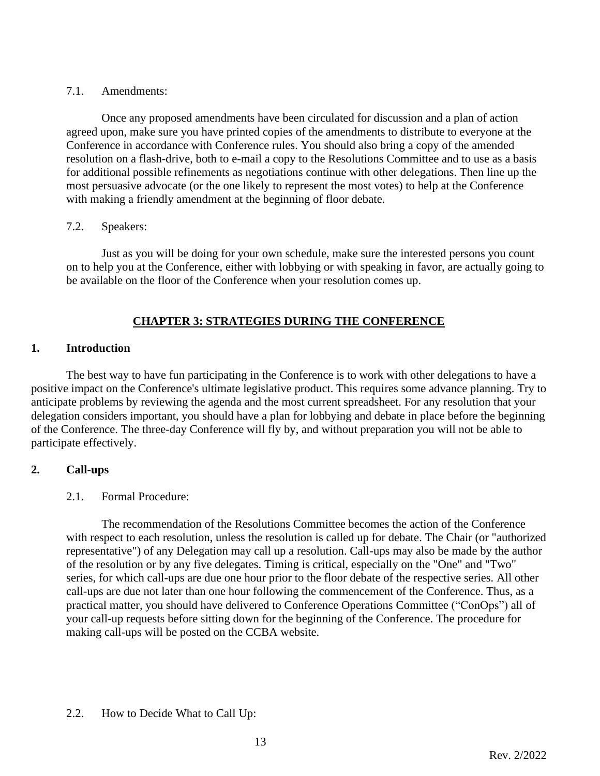## 7.1. Amendments:

Once any proposed amendments have been circulated for discussion and a plan of action agreed upon, make sure you have printed copies of the amendments to distribute to everyone at the Conference in accordance with Conference rules. You should also bring a copy of the amended resolution on a flash-drive, both to e-mail a copy to the Resolutions Committee and to use as a basis for additional possible refinements as negotiations continue with other delegations. Then line up the most persuasive advocate (or the one likely to represent the most votes) to help at the Conference with making a friendly amendment at the beginning of floor debate.

## 7.2. Speakers:

Just as you will be doing for your own schedule, make sure the interested persons you count on to help you at the Conference, either with lobbying or with speaking in favor, are actually going to be available on the floor of the Conference when your resolution comes up.

## **CHAPTER 3: STRATEGIES DURING THE CONFERENCE**

## **1. Introduction**

The best way to have fun participating in the Conference is to work with other delegations to have a positive impact on the Conference's ultimate legislative product. This requires some advance planning. Try to anticipate problems by reviewing the agenda and the most current spreadsheet. For any resolution that your delegation considers important, you should have a plan for lobbying and debate in place before the beginning of the Conference. The three-day Conference will fly by, and without preparation you will not be able to participate effectively.

## **2. Call-ups**

## 2.1. Formal Procedure:

The recommendation of the Resolutions Committee becomes the action of the Conference with respect to each resolution, unless the resolution is called up for debate. The Chair (or "authorized representative") of any Delegation may call up a resolution. Call-ups may also be made by the author of the resolution or by any five delegates. Timing is critical, especially on the "One" and "Two" series, for which call-ups are due one hour prior to the floor debate of the respective series. All other call-ups are due not later than one hour following the commencement of the Conference. Thus, as a practical matter, you should have delivered to Conference Operations Committee ("ConOps") all of your call-up requests before sitting down for the beginning of the Conference. The procedure for making call-ups will be posted on the CCBA website.

## 2.2. How to Decide What to Call Up: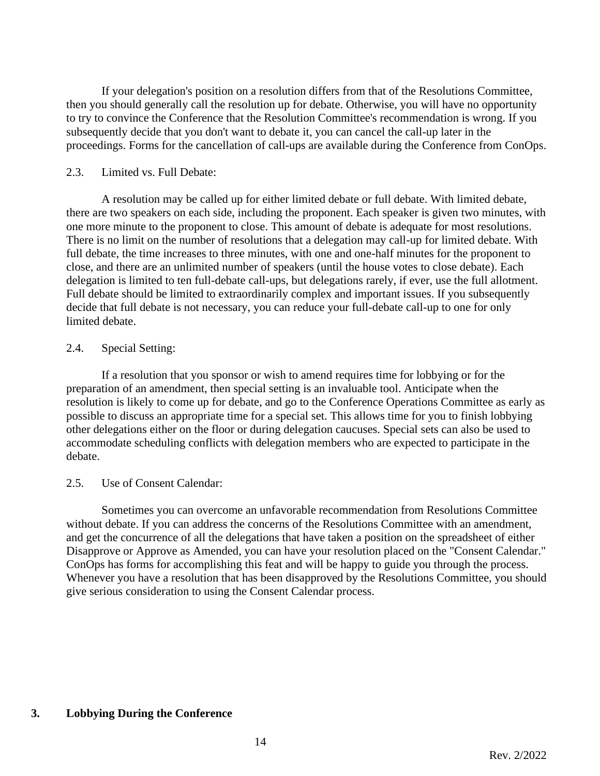If your delegation's position on a resolution differs from that of the Resolutions Committee, then you should generally call the resolution up for debate. Otherwise, you will have no opportunity to try to convince the Conference that the Resolution Committee's recommendation is wrong. If you subsequently decide that you don't want to debate it, you can cancel the call-up later in the proceedings. Forms for the cancellation of call-ups are available during the Conference from ConOps.

### 2.3. Limited vs. Full Debate:

A resolution may be called up for either limited debate or full debate. With limited debate, there are two speakers on each side, including the proponent. Each speaker is given two minutes, with one more minute to the proponent to close. This amount of debate is adequate for most resolutions. There is no limit on the number of resolutions that a delegation may call-up for limited debate. With full debate, the time increases to three minutes, with one and one-half minutes for the proponent to close, and there are an unlimited number of speakers (until the house votes to close debate). Each delegation is limited to ten full-debate call-ups, but delegations rarely, if ever, use the full allotment. Full debate should be limited to extraordinarily complex and important issues. If you subsequently decide that full debate is not necessary, you can reduce your full-debate call-up to one for only limited debate.

## 2.4. Special Setting:

If a resolution that you sponsor or wish to amend requires time for lobbying or for the preparation of an amendment, then special setting is an invaluable tool. Anticipate when the resolution is likely to come up for debate, and go to the Conference Operations Committee as early as possible to discuss an appropriate time for a special set. This allows time for you to finish lobbying other delegations either on the floor or during delegation caucuses. Special sets can also be used to accommodate scheduling conflicts with delegation members who are expected to participate in the debate.

### 2.5. Use of Consent Calendar:

Sometimes you can overcome an unfavorable recommendation from Resolutions Committee without debate. If you can address the concerns of the Resolutions Committee with an amendment, and get the concurrence of all the delegations that have taken a position on the spreadsheet of either Disapprove or Approve as Amended, you can have your resolution placed on the "Consent Calendar." ConOps has forms for accomplishing this feat and will be happy to guide you through the process. Whenever you have a resolution that has been disapproved by the Resolutions Committee, you should give serious consideration to using the Consent Calendar process.

## **3. Lobbying During the Conference**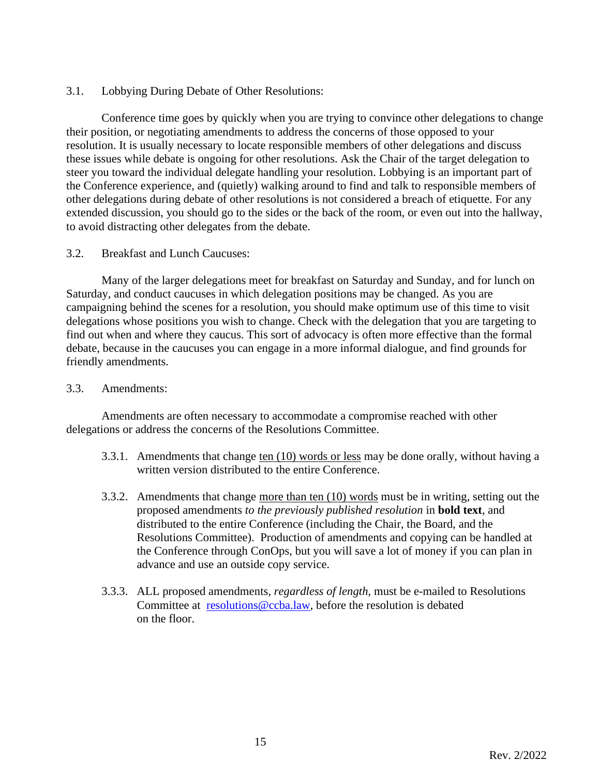3.1. Lobbying During Debate of Other Resolutions:

Conference time goes by quickly when you are trying to convince other delegations to change their position, or negotiating amendments to address the concerns of those opposed to your resolution. It is usually necessary to locate responsible members of other delegations and discuss these issues while debate is ongoing for other resolutions. Ask the Chair of the target delegation to steer you toward the individual delegate handling your resolution. Lobbying is an important part of the Conference experience, and (quietly) walking around to find and talk to responsible members of other delegations during debate of other resolutions is not considered a breach of etiquette. For any extended discussion, you should go to the sides or the back of the room, or even out into the hallway, to avoid distracting other delegates from the debate.

## 3.2. Breakfast and Lunch Caucuses:

Many of the larger delegations meet for breakfast on Saturday and Sunday, and for lunch on Saturday, and conduct caucuses in which delegation positions may be changed. As you are campaigning behind the scenes for a resolution, you should make optimum use of this time to visit delegations whose positions you wish to change. Check with the delegation that you are targeting to find out when and where they caucus. This sort of advocacy is often more effective than the formal debate, because in the caucuses you can engage in a more informal dialogue, and find grounds for friendly amendments.

### 3.3. Amendments:

Amendments are often necessary to accommodate a compromise reached with other delegations or address the concerns of the Resolutions Committee.

- 3.3.1. Amendments that change ten (10) words or less may be done orally, without having a written version distributed to the entire Conference.
- 3.3.2. Amendments that change more than ten (10) words must be in writing, setting out the proposed amendments *to the previously published resolution* in **bold text**, and distributed to the entire Conference (including the Chair, the Board, and the Resolutions Committee). Production of amendments and copying can be handled at the Conference through ConOps, but you will save a lot of money if you can plan in advance and use an outside copy service.
- 3.3.3. ALL proposed amendments, *regardless of length*, must be e-mailed to Resolutions Committee at [resolutions@ccba.law,](mailto:resolutions@ccba.law) before the resolution is debated on the floor.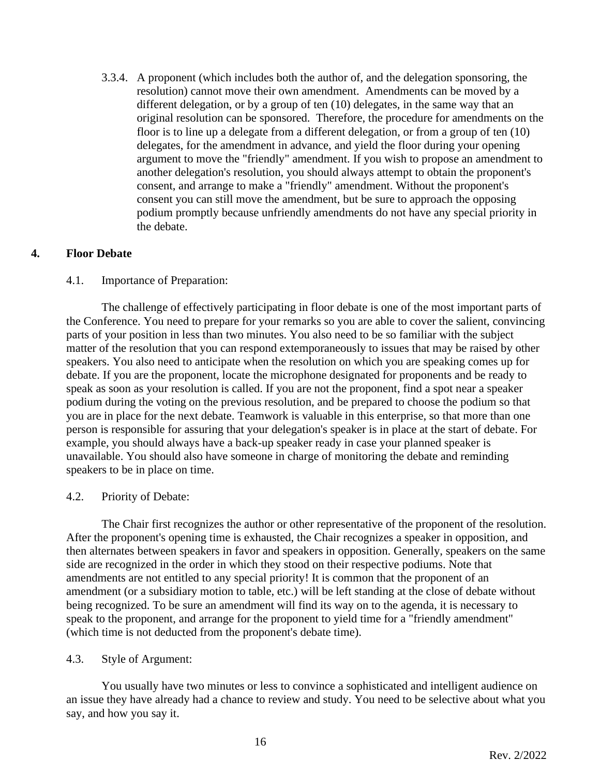3.3.4. A proponent (which includes both the author of, and the delegation sponsoring, the resolution) cannot move their own amendment. Amendments can be moved by a different delegation, or by a group of ten (10) delegates, in the same way that an original resolution can be sponsored. Therefore, the procedure for amendments on the floor is to line up a delegate from a different delegation, or from a group of ten (10) delegates, for the amendment in advance, and yield the floor during your opening argument to move the "friendly" amendment. If you wish to propose an amendment to another delegation's resolution, you should always attempt to obtain the proponent's consent, and arrange to make a "friendly" amendment. Without the proponent's consent you can still move the amendment, but be sure to approach the opposing podium promptly because unfriendly amendments do not have any special priority in the debate.

### **4. Floor Debate**

## 4.1. Importance of Preparation:

The challenge of effectively participating in floor debate is one of the most important parts of the Conference. You need to prepare for your remarks so you are able to cover the salient, convincing parts of your position in less than two minutes. You also need to be so familiar with the subject matter of the resolution that you can respond extemporaneously to issues that may be raised by other speakers. You also need to anticipate when the resolution on which you are speaking comes up for debate. If you are the proponent, locate the microphone designated for proponents and be ready to speak as soon as your resolution is called. If you are not the proponent, find a spot near a speaker podium during the voting on the previous resolution, and be prepared to choose the podium so that you are in place for the next debate. Teamwork is valuable in this enterprise, so that more than one person is responsible for assuring that your delegation's speaker is in place at the start of debate. For example, you should always have a back-up speaker ready in case your planned speaker is unavailable. You should also have someone in charge of monitoring the debate and reminding speakers to be in place on time.

### 4.2. Priority of Debate:

The Chair first recognizes the author or other representative of the proponent of the resolution. After the proponent's opening time is exhausted, the Chair recognizes a speaker in opposition, and then alternates between speakers in favor and speakers in opposition. Generally, speakers on the same side are recognized in the order in which they stood on their respective podiums. Note that amendments are not entitled to any special priority! It is common that the proponent of an amendment (or a subsidiary motion to table, etc.) will be left standing at the close of debate without being recognized. To be sure an amendment will find its way on to the agenda, it is necessary to speak to the proponent, and arrange for the proponent to yield time for a "friendly amendment" (which time is not deducted from the proponent's debate time).

### 4.3. Style of Argument:

You usually have two minutes or less to convince a sophisticated and intelligent audience on an issue they have already had a chance to review and study. You need to be selective about what you say, and how you say it.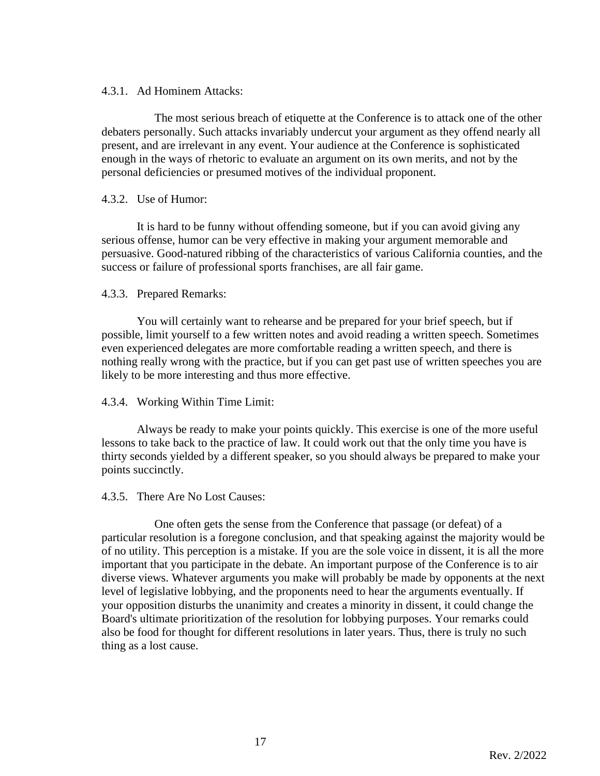### 4.3.1. Ad Hominem Attacks:

The most serious breach of etiquette at the Conference is to attack one of the other debaters personally. Such attacks invariably undercut your argument as they offend nearly all present, and are irrelevant in any event. Your audience at the Conference is sophisticated enough in the ways of rhetoric to evaluate an argument on its own merits, and not by the personal deficiencies or presumed motives of the individual proponent.

### 4.3.2. Use of Humor:

It is hard to be funny without offending someone, but if you can avoid giving any serious offense, humor can be very effective in making your argument memorable and persuasive. Good-natured ribbing of the characteristics of various California counties, and the success or failure of professional sports franchises, are all fair game.

### 4.3.3. Prepared Remarks:

You will certainly want to rehearse and be prepared for your brief speech, but if possible, limit yourself to a few written notes and avoid reading a written speech. Sometimes even experienced delegates are more comfortable reading a written speech, and there is nothing really wrong with the practice, but if you can get past use of written speeches you are likely to be more interesting and thus more effective.

### 4.3.4. Working Within Time Limit:

Always be ready to make your points quickly. This exercise is one of the more useful lessons to take back to the practice of law. It could work out that the only time you have is thirty seconds yielded by a different speaker, so you should always be prepared to make your points succinctly.

#### 4.3.5. There Are No Lost Causes:

One often gets the sense from the Conference that passage (or defeat) of a particular resolution is a foregone conclusion, and that speaking against the majority would be of no utility. This perception is a mistake. If you are the sole voice in dissent, it is all the more important that you participate in the debate. An important purpose of the Conference is to air diverse views. Whatever arguments you make will probably be made by opponents at the next level of legislative lobbying, and the proponents need to hear the arguments eventually. If your opposition disturbs the unanimity and creates a minority in dissent, it could change the Board's ultimate prioritization of the resolution for lobbying purposes. Your remarks could also be food for thought for different resolutions in later years. Thus, there is truly no such thing as a lost cause.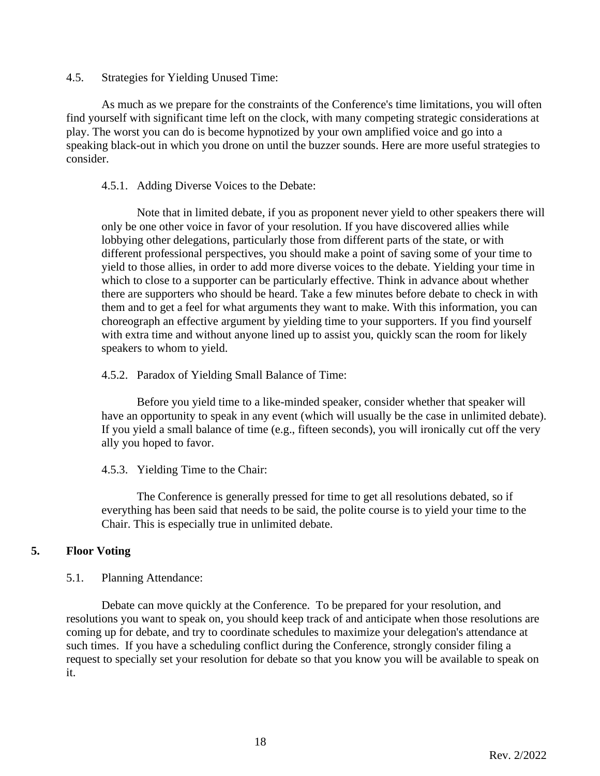4.5. Strategies for Yielding Unused Time:

As much as we prepare for the constraints of the Conference's time limitations, you will often find yourself with significant time left on the clock, with many competing strategic considerations at play. The worst you can do is become hypnotized by your own amplified voice and go into a speaking black-out in which you drone on until the buzzer sounds. Here are more useful strategies to consider.

### 4.5.1. Adding Diverse Voices to the Debate:

Note that in limited debate, if you as proponent never yield to other speakers there will only be one other voice in favor of your resolution. If you have discovered allies while lobbying other delegations, particularly those from different parts of the state, or with different professional perspectives, you should make a point of saving some of your time to yield to those allies, in order to add more diverse voices to the debate. Yielding your time in which to close to a supporter can be particularly effective. Think in advance about whether there are supporters who should be heard. Take a few minutes before debate to check in with them and to get a feel for what arguments they want to make. With this information, you can choreograph an effective argument by yielding time to your supporters. If you find yourself with extra time and without anyone lined up to assist you, quickly scan the room for likely speakers to whom to yield.

### 4.5.2. Paradox of Yielding Small Balance of Time:

Before you yield time to a like-minded speaker, consider whether that speaker will have an opportunity to speak in any event (which will usually be the case in unlimited debate). If you yield a small balance of time (e.g., fifteen seconds), you will ironically cut off the very ally you hoped to favor.

4.5.3. Yielding Time to the Chair:

The Conference is generally pressed for time to get all resolutions debated, so if everything has been said that needs to be said, the polite course is to yield your time to the Chair. This is especially true in unlimited debate.

### **5. Floor Voting**

#### 5.1. Planning Attendance:

Debate can move quickly at the Conference. To be prepared for your resolution, and resolutions you want to speak on, you should keep track of and anticipate when those resolutions are coming up for debate, and try to coordinate schedules to maximize your delegation's attendance at such times. If you have a scheduling conflict during the Conference, strongly consider filing a request to specially set your resolution for debate so that you know you will be available to speak on it.